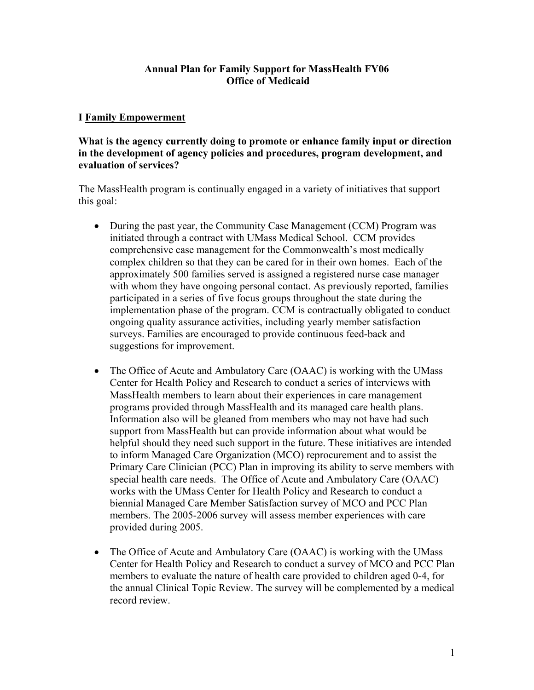# **Annual Plan for Family Support for MassHealth FY06 Office of Medicaid**

# **I Family Empowerment**

# **What is the agency currently doing to promote or enhance family input or direction in the development of agency policies and procedures, program development, and evaluation of services?**

The MassHealth program is continually engaged in a variety of initiatives that support this goal:

- During the past year, the Community Case Management (CCM) Program was initiated through a contract with UMass Medical School. CCM provides comprehensive case management for the Commonwealth's most medically complex children so that they can be cared for in their own homes. Each of the approximately 500 families served is assigned a registered nurse case manager with whom they have ongoing personal contact. As previously reported, families participated in a series of five focus groups throughout the state during the implementation phase of the program. CCM is contractually obligated to conduct ongoing quality assurance activities, including yearly member satisfaction surveys. Families are encouraged to provide continuous feed-back and suggestions for improvement.
- The Office of Acute and Ambulatory Care (OAAC) is working with the UMass Center for Health Policy and Research to conduct a series of interviews with MassHealth members to learn about their experiences in care management programs provided through MassHealth and its managed care health plans. Information also will be gleaned from members who may not have had such support from MassHealth but can provide information about what would be helpful should they need such support in the future. These initiatives are intended to inform Managed Care Organization (MCO) reprocurement and to assist the Primary Care Clinician (PCC) Plan in improving its ability to serve members with special health care needs. The Office of Acute and Ambulatory Care (OAAC) works with the UMass Center for Health Policy and Research to conduct a biennial Managed Care Member Satisfaction survey of MCO and PCC Plan members. The 2005-2006 survey will assess member experiences with care provided during 2005.
- The Office of Acute and Ambulatory Care (OAAC) is working with the UMass Center for Health Policy and Research to conduct a survey of MCO and PCC Plan members to evaluate the nature of health care provided to children aged 0-4, for the annual Clinical Topic Review. The survey will be complemented by a medical record review.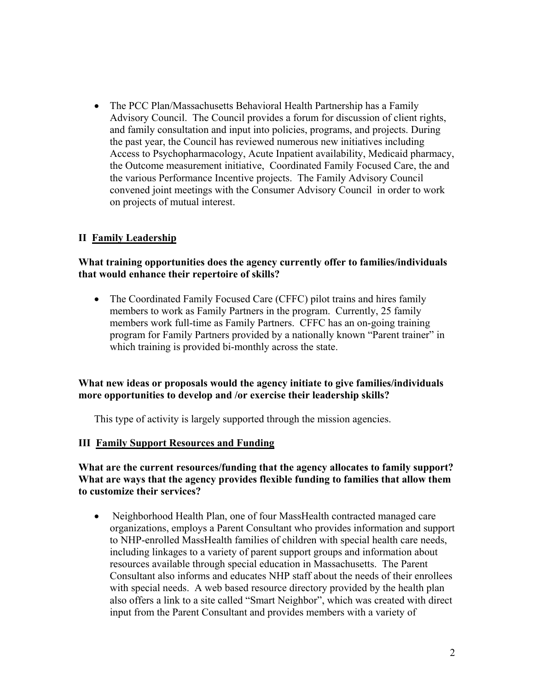• The PCC Plan/Massachusetts Behavioral Health Partnership has a Family Advisory Council. The Council provides a forum for discussion of client rights, and family consultation and input into policies, programs, and projects. During the past year, the Council has reviewed numerous new initiatives including Access to Psychopharmacology, Acute Inpatient availability, Medicaid pharmacy, the Outcome measurement initiative, Coordinated Family Focused Care, the and the various Performance Incentive projects. The Family Advisory Council convened joint meetings with the Consumer Advisory Council in order to work on projects of mutual interest.

# **II Family Leadership**

# **What training opportunities does the agency currently offer to families/individuals that would enhance their repertoire of skills?**

• The Coordinated Family Focused Care (CFFC) pilot trains and hires family members to work as Family Partners in the program. Currently, 25 family members work full-time as Family Partners. CFFC has an on-going training program for Family Partners provided by a nationally known "Parent trainer" in which training is provided bi-monthly across the state.

#### **What new ideas or proposals would the agency initiate to give families/individuals more opportunities to develop and /or exercise their leadership skills?**

This type of activity is largely supported through the mission agencies.

#### **III Family Support Resources and Funding**

#### **What are the current resources/funding that the agency allocates to family support? What are ways that the agency provides flexible funding to families that allow them to customize their services?**

• Neighborhood Health Plan, one of four MassHealth contracted managed care organizations, employs a Parent Consultant who provides information and support to NHP-enrolled MassHealth families of children with special health care needs, including linkages to a variety of parent support groups and information about resources available through special education in Massachusetts. The Parent Consultant also informs and educates NHP staff about the needs of their enrollees with special needs. A web based resource directory provided by the health plan also offers a link to a site called "Smart Neighbor", which was created with direct input from the Parent Consultant and provides members with a variety of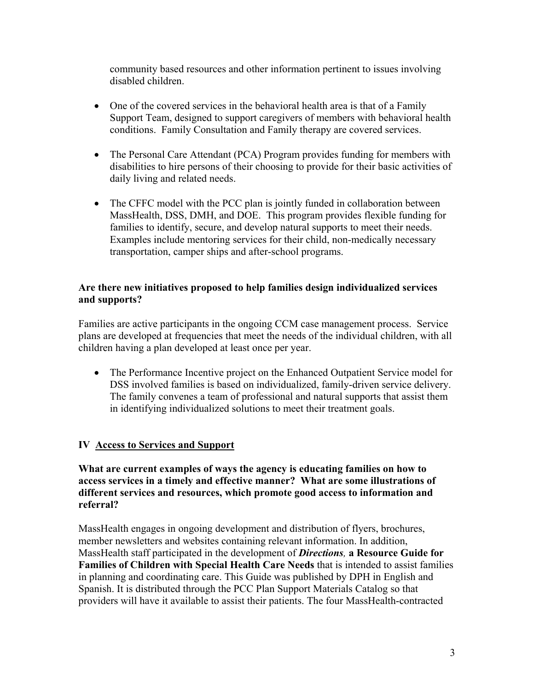community based resources and other information pertinent to issues involving disabled children.

- One of the covered services in the behavioral health area is that of a Family Support Team, designed to support caregivers of members with behavioral health conditions. Family Consultation and Family therapy are covered services.
- The Personal Care Attendant (PCA) Program provides funding for members with disabilities to hire persons of their choosing to provide for their basic activities of daily living and related needs.
- The CFFC model with the PCC plan is jointly funded in collaboration between MassHealth, DSS, DMH, and DOE. This program provides flexible funding for families to identify, secure, and develop natural supports to meet their needs. Examples include mentoring services for their child, non-medically necessary transportation, camper ships and after-school programs.

# **Are there new initiatives proposed to help families design individualized services and supports?**

Families are active participants in the ongoing CCM case management process. Service plans are developed at frequencies that meet the needs of the individual children, with all children having a plan developed at least once per year.

• The Performance Incentive project on the Enhanced Outpatient Service model for DSS involved families is based on individualized, family-driven service delivery. The family convenes a team of professional and natural supports that assist them in identifying individualized solutions to meet their treatment goals.

# **IV Access to Services and Support**

**What are current examples of ways the agency is educating families on how to access services in a timely and effective manner? What are some illustrations of different services and resources, which promote good access to information and referral?** 

MassHealth engages in ongoing development and distribution of flyers, brochures, member newsletters and websites containing relevant information. In addition, MassHealth staff participated in the development of *Directions,* **a Resource Guide for Families of Children with Special Health Care Needs** that is intended to assist families in planning and coordinating care. This Guide was published by DPH in English and Spanish. It is distributed through the PCC Plan Support Materials Catalog so that providers will have it available to assist their patients. The four MassHealth-contracted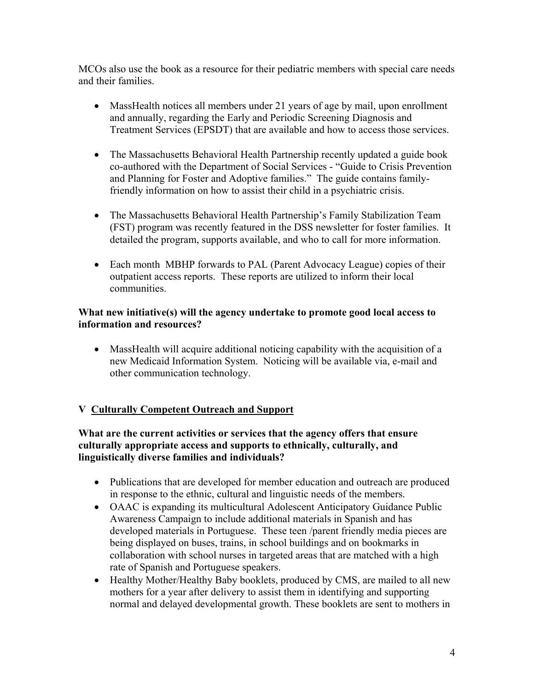MCOs also use the book as a resource for their pediatric members with special care needs and their families.

- MassHealth notices all members under 21 years of age by mail, upon enrollment and annually, regarding the Early and Periodic Screening Diagnosis and Treatment Services (EPSDT) that are available and how to access those services.
- The Massachusetts Behavioral Health Partnership recently updated a guide book co-authored with the Department of Social Services - "Guide to Crisis Prevention and Planning for Foster and Adoptive families." The guide contains familyfriendly information on how to assist their child in a psychiatric crisis.
- The Massachusetts Behavioral Health Partnership's Family Stabilization Team (FST) program was recently featured in the DSS newsletter for foster families. It detailed the program, supports available, and who to call for more information.
- Each month MBHP forwards to PAL (Parent Advocacy League) copies of their outpatient access reports. These reports are utilized to inform their local communities.

# **What new initiative(s) will the agency undertake to promote good local access to information and resources?**

• MassHealth will acquire additional noticing capability with the acquisition of a new Medicaid Information System. Noticing will be available via, e-mail and other communication technology.

# **V Culturally Competent Outreach and Support**

# **What are the current activities or services that the agency offers that ensure culturally appropriate access and supports to ethnically, culturally, and linguistically diverse families and individuals?**

- Publications that are developed for member education and outreach are produced in response to the ethnic, cultural and linguistic needs of the members.
- OAAC is expanding its multicultural Adolescent Anticipatory Guidance Public Awareness Campaign to include additional materials in Spanish and has developed materials in Portuguese. These teen /parent friendly media pieces are being displayed on buses, trains, in school buildings and on bookmarks in collaboration with school nurses in targeted areas that are matched with a high rate of Spanish and Portuguese speakers.
- Healthy Mother/Healthy Baby booklets, produced by CMS, are mailed to all new mothers for a year after delivery to assist them in identifying and supporting normal and delayed developmental growth. These booklets are sent to mothers in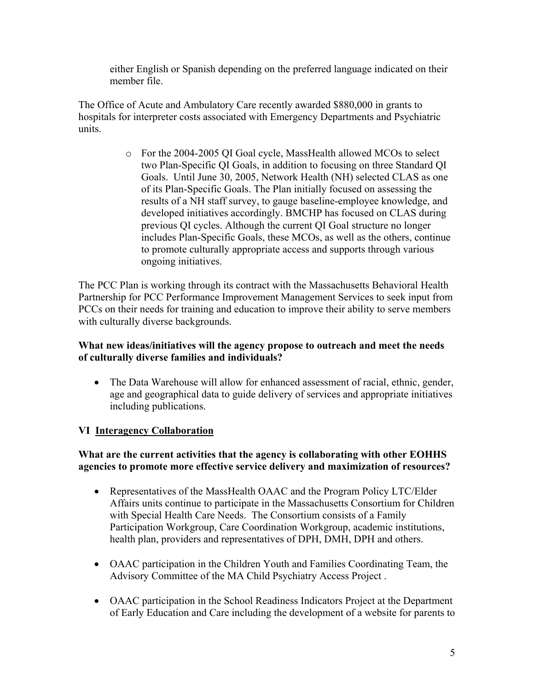either English or Spanish depending on the preferred language indicated on their member file.

The Office of Acute and Ambulatory Care recently awarded \$880,000 in grants to hospitals for interpreter costs associated with Emergency Departments and Psychiatric units.

> o For the 2004-2005 QI Goal cycle, MassHealth allowed MCOs to select two Plan-Specific QI Goals, in addition to focusing on three Standard QI Goals. Until June 30, 2005, Network Health (NH) selected CLAS as one of its Plan-Specific Goals. The Plan initially focused on assessing the results of a NH staff survey, to gauge baseline-employee knowledge, and developed initiatives accordingly. BMCHP has focused on CLAS during previous QI cycles. Although the current QI Goal structure no longer includes Plan-Specific Goals, these MCOs, as well as the others, continue to promote culturally appropriate access and supports through various ongoing initiatives.

The PCC Plan is working through its contract with the Massachusetts Behavioral Health Partnership for PCC Performance Improvement Management Services to seek input from PCCs on their needs for training and education to improve their ability to serve members with culturally diverse backgrounds.

# **What new ideas/initiatives will the agency propose to outreach and meet the needs of culturally diverse families and individuals?**

• The Data Warehouse will allow for enhanced assessment of racial, ethnic, gender, age and geographical data to guide delivery of services and appropriate initiatives including publications.

# **VI Interagency Collaboration**

# **What are the current activities that the agency is collaborating with other EOHHS agencies to promote more effective service delivery and maximization of resources?**

- Representatives of the MassHealth OAAC and the Program Policy LTC/Elder Affairs units continue to participate in the Massachusetts Consortium for Children with Special Health Care Needs. The Consortium consists of a Family Participation Workgroup, Care Coordination Workgroup, academic institutions, health plan, providers and representatives of DPH, DMH, DPH and others.
- OAAC participation in the Children Youth and Families Coordinating Team, the Advisory Committee of the MA Child Psychiatry Access Project .
- OAAC participation in the School Readiness Indicators Project at the Department of Early Education and Care including the development of a website for parents to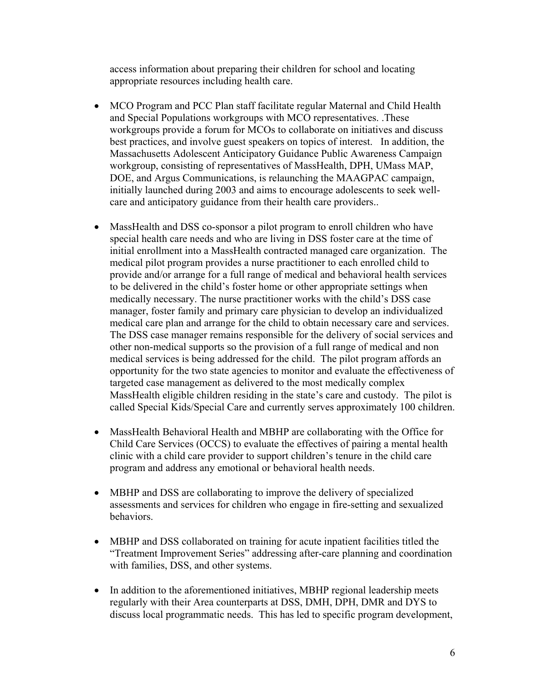access information about preparing their children for school and locating appropriate resources including health care.

- MCO Program and PCC Plan staff facilitate regular Maternal and Child Health and Special Populations workgroups with MCO representatives. .These workgroups provide a forum for MCOs to collaborate on initiatives and discuss best practices, and involve guest speakers on topics of interest. In addition, the Massachusetts Adolescent Anticipatory Guidance Public Awareness Campaign workgroup, consisting of representatives of MassHealth, DPH, UMass MAP, DOE, and Argus Communications, is relaunching the MAAGPAC campaign, initially launched during 2003 and aims to encourage adolescents to seek wellcare and anticipatory guidance from their health care providers..
- MassHealth and DSS co-sponsor a pilot program to enroll children who have special health care needs and who are living in DSS foster care at the time of initial enrollment into a MassHealth contracted managed care organization. The medical pilot program provides a nurse practitioner to each enrolled child to provide and/or arrange for a full range of medical and behavioral health services to be delivered in the child's foster home or other appropriate settings when medically necessary. The nurse practitioner works with the child's DSS case manager, foster family and primary care physician to develop an individualized medical care plan and arrange for the child to obtain necessary care and services. The DSS case manager remains responsible for the delivery of social services and other non-medical supports so the provision of a full range of medical and non medical services is being addressed for the child. The pilot program affords an opportunity for the two state agencies to monitor and evaluate the effectiveness of targeted case management as delivered to the most medically complex MassHealth eligible children residing in the state's care and custody. The pilot is called Special Kids/Special Care and currently serves approximately 100 children.
- MassHealth Behavioral Health and MBHP are collaborating with the Office for Child Care Services (OCCS) to evaluate the effectives of pairing a mental health clinic with a child care provider to support children's tenure in the child care program and address any emotional or behavioral health needs.
- MBHP and DSS are collaborating to improve the delivery of specialized assessments and services for children who engage in fire-setting and sexualized behaviors.
- MBHP and DSS collaborated on training for acute inpatient facilities titled the "Treatment Improvement Series" addressing after-care planning and coordination with families, DSS, and other systems.
- In addition to the aforementioned initiatives, MBHP regional leadership meets regularly with their Area counterparts at DSS, DMH, DPH, DMR and DYS to discuss local programmatic needs. This has led to specific program development,